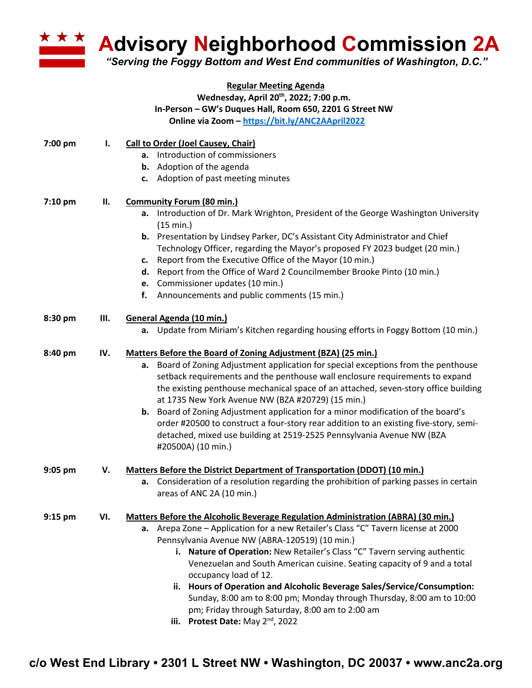

**Advisory Neighborhood Commission 2A** 

*"Serving the Foggy Bottom and West End communities of Washington, D.C."*

## **Regular Meeting Agenda Wednesday, April 20th, 2022; 7:00 p.m. In-Person – GW's Duques Hall, Room 650, 2201 G Street NW Online via Zoom – https://bit.ly/ANC2AApril2022**

| 7:00 pm   | ı.  | <b>Call to Order (Joel Causey, Chair)</b><br>a. Introduction of commissioners<br><b>b.</b> Adoption of the agenda<br>c. Adoption of past meeting minutes                                                                                                                                                                                                                                                                                                                                                                                                                                                                                                                 |
|-----------|-----|--------------------------------------------------------------------------------------------------------------------------------------------------------------------------------------------------------------------------------------------------------------------------------------------------------------------------------------------------------------------------------------------------------------------------------------------------------------------------------------------------------------------------------------------------------------------------------------------------------------------------------------------------------------------------|
| 7:10 pm   | П.  | <b>Community Forum (80 min.)</b><br>a. Introduction of Dr. Mark Wrighton, President of the George Washington University<br>(15 min.)<br>b. Presentation by Lindsey Parker, DC's Assistant City Administrator and Chief<br>Technology Officer, regarding the Mayor's proposed FY 2023 budget (20 min.)<br>Report from the Executive Office of the Mayor (10 min.)<br>c.<br>d. Report from the Office of Ward 2 Councilmember Brooke Pinto (10 min.)<br>e. Commissioner updates (10 min.)<br>Announcements and public comments (15 min.)<br>f.                                                                                                                             |
| 8:30 pm   | Ш.  | General Agenda (10 min.)<br>a. Update from Miriam's Kitchen regarding housing efforts in Foggy Bottom (10 min.)                                                                                                                                                                                                                                                                                                                                                                                                                                                                                                                                                          |
| 8:40 pm   | IV. | Matters Before the Board of Zoning Adjustment (BZA) (25 min.)<br>Board of Zoning Adjustment application for special exceptions from the penthouse<br>а.<br>setback requirements and the penthouse wall enclosure requirements to expand<br>the existing penthouse mechanical space of an attached, seven-story office building<br>at 1735 New York Avenue NW (BZA #20729) (15 min.)<br><b>b.</b> Board of Zoning Adjustment application for a minor modification of the board's<br>order #20500 to construct a four-story rear addition to an existing five-story, semi-<br>detached, mixed use building at 2519-2525 Pennsylvania Avenue NW (BZA<br>#20500A) (10 min.)  |
| 9:05 pm   | V.  | Matters Before the District Department of Transportation (DDOT) (10 min.)<br>a. Consideration of a resolution regarding the prohibition of parking passes in certain<br>areas of ANC 2A (10 min.)                                                                                                                                                                                                                                                                                                                                                                                                                                                                        |
| $9:15$ pm | VI. | Matters Before the Alcoholic Beverage Regulation Administration (ABRA) (30 min.)<br>a. Arepa Zone – Application for a new Retailer's Class "C" Tavern license at 2000<br>Pennsylvania Avenue NW (ABRA-120519) (10 min.)<br>Nature of Operation: New Retailer's Class "C" Tavern serving authentic<br>i.<br>Venezuelan and South American cuisine. Seating capacity of 9 and a total<br>occupancy load of 12.<br>ii. Hours of Operation and Alcoholic Beverage Sales/Service/Consumption:<br>Sunday, 8:00 am to 8:00 pm; Monday through Thursday, 8:00 am to 10:00<br>pm; Friday through Saturday, 8:00 am to 2:00 am<br>Protest Date: May 2 <sup>nd</sup> , 2022<br>iii. |